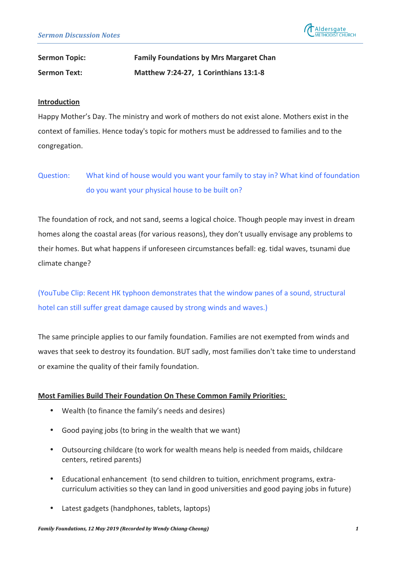

# **Sermon Topic: Family Foundations by Mrs Margaret Chan Sermon Text: Matthew 7:24-27, 1 Corinthians 13:1-8**

#### **Introduction**

Happy Mother's Day. The ministry and work of mothers do not exist alone. Mothers exist in the context of families. Hence today's topic for mothers must be addressed to families and to the congregation.

## Question: What kind of house would you want your family to stay in? What kind of foundation do you want your physical house to be built on?

The foundation of rock, and not sand, seems a logical choice. Though people may invest in dream homes along the coastal areas (for various reasons), they don't usually envisage any problems to their homes. But what happens if unforeseen circumstances befall: eg. tidal waves, tsunami due climate change?

(YouTube Clip: Recent HK typhoon demonstrates that the window panes of a sound, structural hotel can still suffer great damage caused by strong winds and waves.)

The same principle applies to our family foundation. Families are not exempted from winds and waves that seek to destroy its foundation. BUT sadly, most families don't take time to understand or examine the quality of their family foundation.

## **Most Families Build Their Foundation On These Common Family Priorities:**

- Wealth (to finance the family's needs and desires)
- Good paying jobs (to bring in the wealth that we want)
- Outsourcing childcare (to work for wealth means help is needed from maids, childcare centers, retired parents)
- Educational enhancement (to send children to tuition, enrichment programs, extracurriculum activities so they can land in good universities and good paying jobs in future)
- Latest gadgets (handphones, tablets, laptops)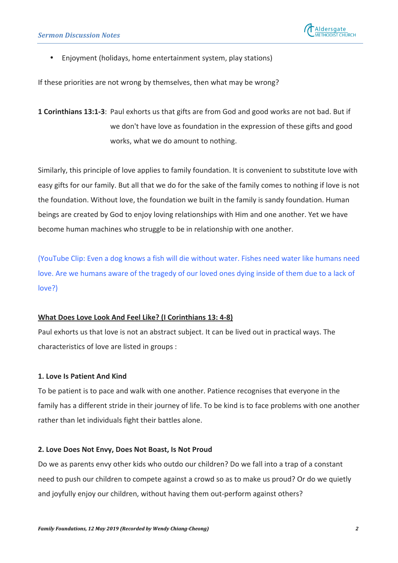

Enjoyment (holidays, home entertainment system, play stations)

If these priorities are not wrong by themselves, then what may be wrong?

**1 Corinthians 13:1-3**: Paul exhorts us that gifts are from God and good works are not bad. But if we don't have love as foundation in the expression of these gifts and good works, what we do amount to nothing.

Similarly, this principle of love applies to family foundation. It is convenient to substitute love with easy gifts for our family. But all that we do for the sake of the family comes to nothing if love is not the foundation. Without love, the foundation we built in the family is sandy foundation. Human beings are created by God to enjoy loving relationships with Him and one another. Yet we have become human machines who struggle to be in relationship with one another.

(YouTube Clip: Even a dog knows a fish will die without water. Fishes need water like humans need love. Are we humans aware of the tragedy of our loved ones dying inside of them due to a lack of love?)

#### **What Does Love Look And Feel Like? (I Corinthians 13: 4-8)**

Paul exhorts us that love is not an abstract subject. It can be lived out in practical ways. The characteristics of love are listed in groups :

## **1. Love Is Patient And Kind**

To be patient is to pace and walk with one another. Patience recognises that everyone in the family has a different stride in their journey of life. To be kind is to face problems with one another rather than let individuals fight their battles alone.

#### **2. Love Does Not Envy, Does Not Boast, Is Not Proud**

Do we as parents envy other kids who outdo our children? Do we fall into a trap of a constant need to push our children to compete against a crowd so as to make us proud? Or do we quietly and joyfully enjoy our children, without having them out-perform against others?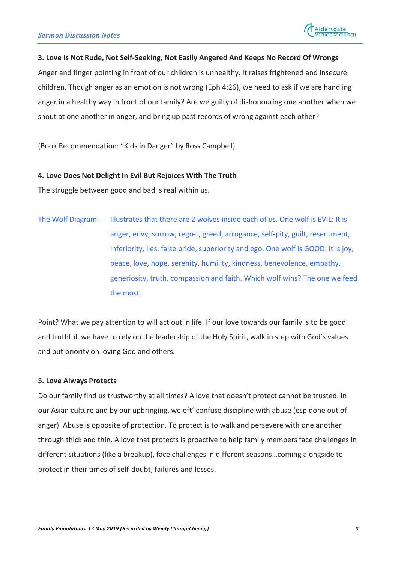

#### 3. Love Is Not Rude, Not Self-Seeking, Not Easily Angered And Keeps No Record Of Wrongs

Anger and finger pointing in front of our children is unhealthy. It raises frightened and insecure children. Though anger as an emotion is not wrong (Eph 4:26), we need to ask if we are handling anger in a healthy way in front of our family? Are we guilty of dishonouring one another when we shout at one another in anger, and bring up past records of wrong against each other?

(Book Recommendation: "Kids in Danger" by Ross Campbell)

#### **4. Love Does Not Delight In Evil But Rejoices With The Truth**

The struggle between good and bad is real within us.

The Wolf Diagram: Illustrates that there are 2 wolves inside each of us. One wolf is EVIL: It is anger, envy, sorrow, regret, greed, arrogance, self-pity, guilt, resentment, inferiority, lies, false pride, superiority and ego. One wolf is GOOD: It is joy, peace, love, hope, serenity, humility, kindness, benevolence, empathy, generiosity, truth, compassion and faith. Which wolf wins? The one we feed the most.

Point? What we pay attention to will act out in life. If our love towards our family is to be good and truthful, we have to rely on the leadership of the Holy Spirit, walk in step with God's values and put priority on loving God and others.

#### **5. Love Always Protects**

Do our family find us trustworthy at all times? A love that doesn't protect cannot be trusted. In our Asian culture and by our upbringing, we oft' confuse discipline with abuse (esp done out of anger). Abuse is opposite of protection. To protect is to walk and persevere with one another through thick and thin. A love that protects is proactive to help family members face challenges in different situations (like a breakup), face challenges in different seasons...coming alongside to protect in their times of self-doubt, failures and losses.